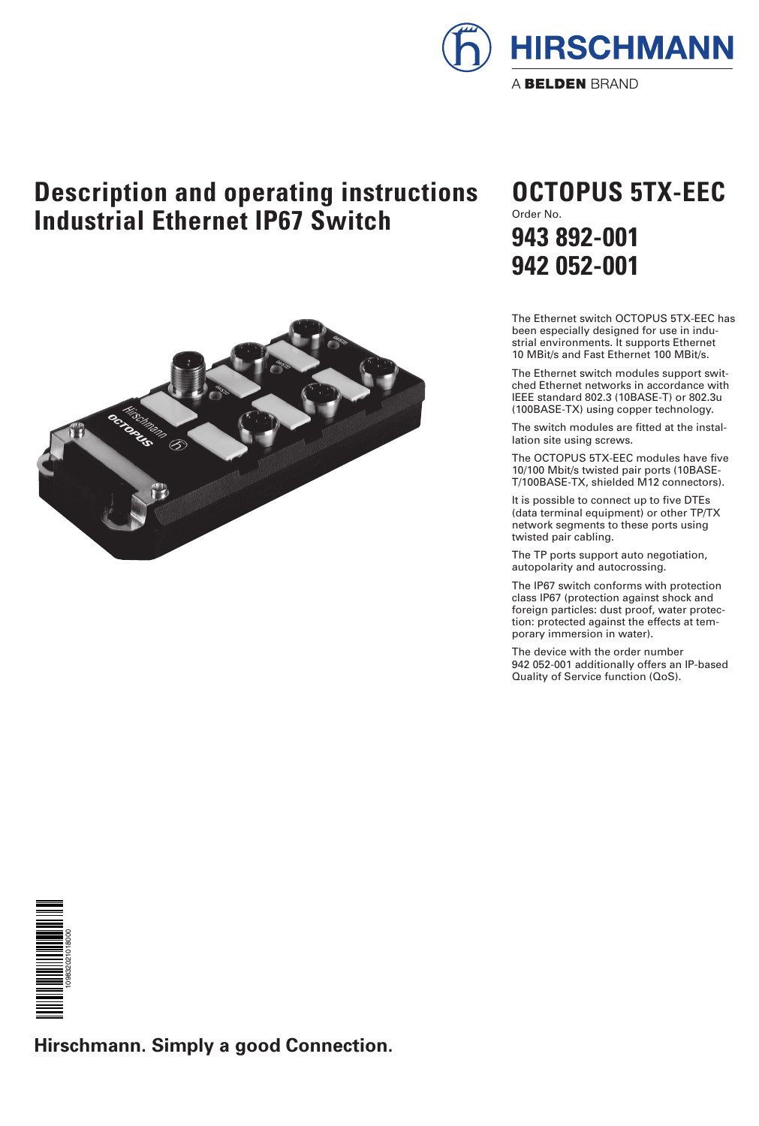

## **Description and operating instructions Industrial Ethernet IP67 Switch**



## Order No. **OCTOPUS 5TX-EEC 943 892-001 942 052-001**

The Ethernet switch OCTOPUS 5TX-EEC has been especially designed for use in industrial environments. It supports Ethernet 10 MBit/s and Fast Ethernet 100 MBit/s.

The Ethernet switch modules support switched Ethernet networks in accordance with IEEE standard 802.3 (10BASE-T) or 802.3u (100BASE-TX) using copper technology.

The switch modules are fitted at the installation site using screws.

The OCTOPUS 5TX-EEC modules have five 10/100 Mbit/s twisted pair ports (10BASE-T/100BASE-TX, shielded M12 connectors).

It is possible to connect up to five DTEs (data terminal equipment) or other TP/TX network segments to these ports using twisted pair cabling.

The TP ports support auto negotiation, autopolarity and autocrossing.

The IP67 switch conforms with protection class IP67 (protection against shock and foreign particles: dust proof, water protection: protected against the effects at temporary immersion in water).

The device with the order number 942 052-001 additionally offers an IP-based Quality of Service function (QoS).



**Hirschmann. Simply a good Connection.**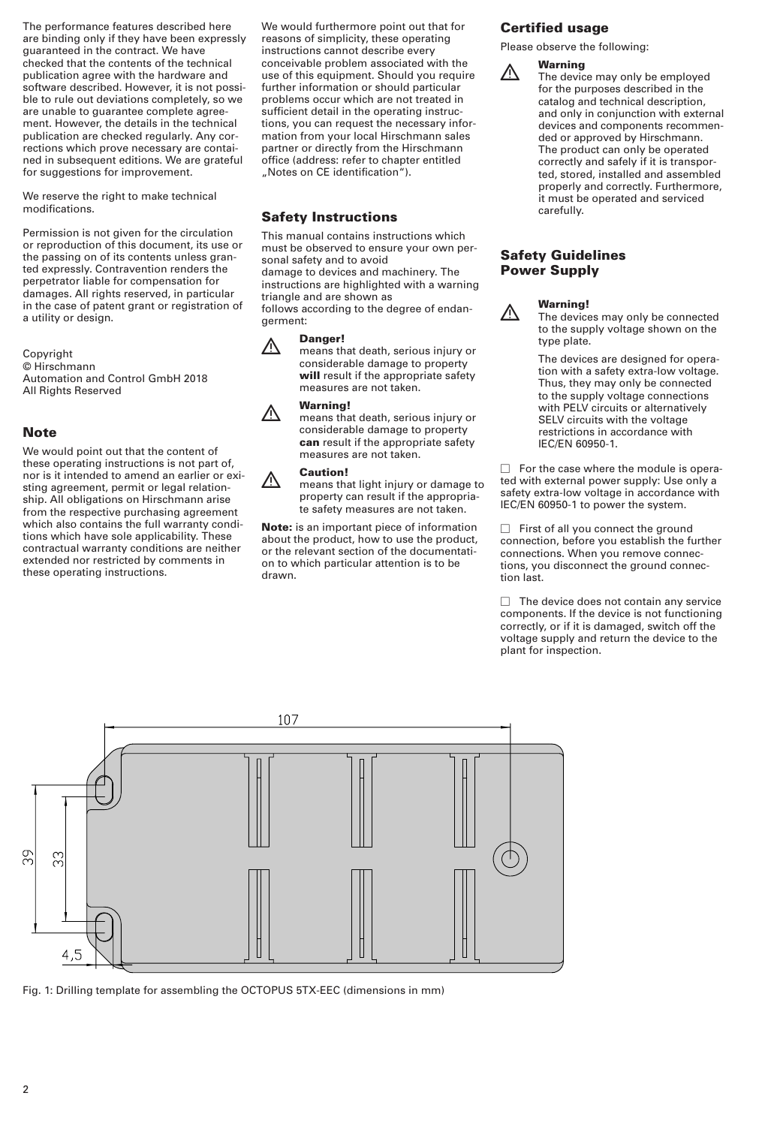The performance features described here are binding only if they have been expressly guaranteed in the contract. We have checked that the contents of the technical publication agree with the hardware and software described. However, it is not possible to rule out deviations completely, so we are unable to guarantee complete agreement. However, the details in the technical publication are checked regularly. Any corrections which prove necessary are contained in subsequent editions. We are grateful for suggestions for improvement.

We reserve the right to make technical modifications.

Permission is not given for the circulation or reproduction of this document, its use or the passing on of its contents unless granted expressly. Contravention renders the perpetrator liable for compensation for damages. All rights reserved, in particular in the case of patent grant or registration of a utility or design.

Copyright © Hirschmann Automation and Control GmbH 2018 All Rights Reserved

#### **Note**

We would point out that the content of these operating instructions is not part of, nor is it intended to amend an earlier or existing agreement, permit or legal relationship. All obligations on Hirschmann arise from the respective purchasing agreement which also contains the full warranty conditions which have sole applicability. These contractual warranty conditions are neither extended nor restricted by comments in these operating instructions.

We would furthermore point out that for reasons of simplicity, these operating instructions cannot describe every conceivable problem associated with the use of this equipment. Should you require further information or should particular problems occur which are not treated in sufficient detail in the operating instructions, you can request the necessary information from your local Hirschmann sales partner or directly from the Hirschmann office (address: refer to chapter entitled "Notes on CE identification").

#### **Safety Instructions**

This manual contains instructions which must be observed to ensure your own personal safety and to avoid damage to devices and machinery. The instructions are highlighted with a warning triangle and are shown as follows according to the degree of endangerment:

**1 Danger!**<br>A means that death, serious injury or considerable damage to property **will** result if the appropriate safety measures are not taken.

**1 Warning!**<br>A means that death, serious injury or considerable damage to property **can** result if the appropriate safety measures are not taken.

**1 Caution!**<br>A means that light injury or damage to property can result if the appropriate safety measures are not taken.

**Note:** is an important piece of information about the product, how to use the product, or the relevant section of the documentation to which particular attention is to be drawn.

#### **Certified usage**

Please observe the following:



**1 Warning**<br>
The device may only be employed for the purposes described in the catalog and technical description, and only in conjunction with external devices and components recommended or approved by Hirschmann. The product can only be operated correctly and safely if it is transported, stored, installed and assembled properly and correctly. Furthermore, it must be operated and serviced carefully.

#### **Safety Guidelines Power Supply**



**1 Warning!**<br>
The devices may only be connected to the supply voltage shown on the type plate.

> The devices are designed for operation with a safety extra-low voltage. Thus, they may only be connected to the supply voltage connections with PELV circuits or alternatively SELV circuits with the voltage restrictions in accordance with IEC/EN 60950-1.

 $\Box$  For the case where the module is operated with external power supply: Use only a safety extra-low voltage in accordance with IEC/EN 60950-1 to power the system.

 $\Box$  First of all you connect the ground connection, before you establish the further connections. When you remove connections, you disconnect the ground connection last.

 $\Box$  The device does not contain any service components. If the device is not functioning correctly, or if it is damaged, switch off the voltage supply and return the device to the plant for inspection.



Fig. 1: Drilling template for assembling the OCTOPUS 5TX-EEC (dimensions in mm)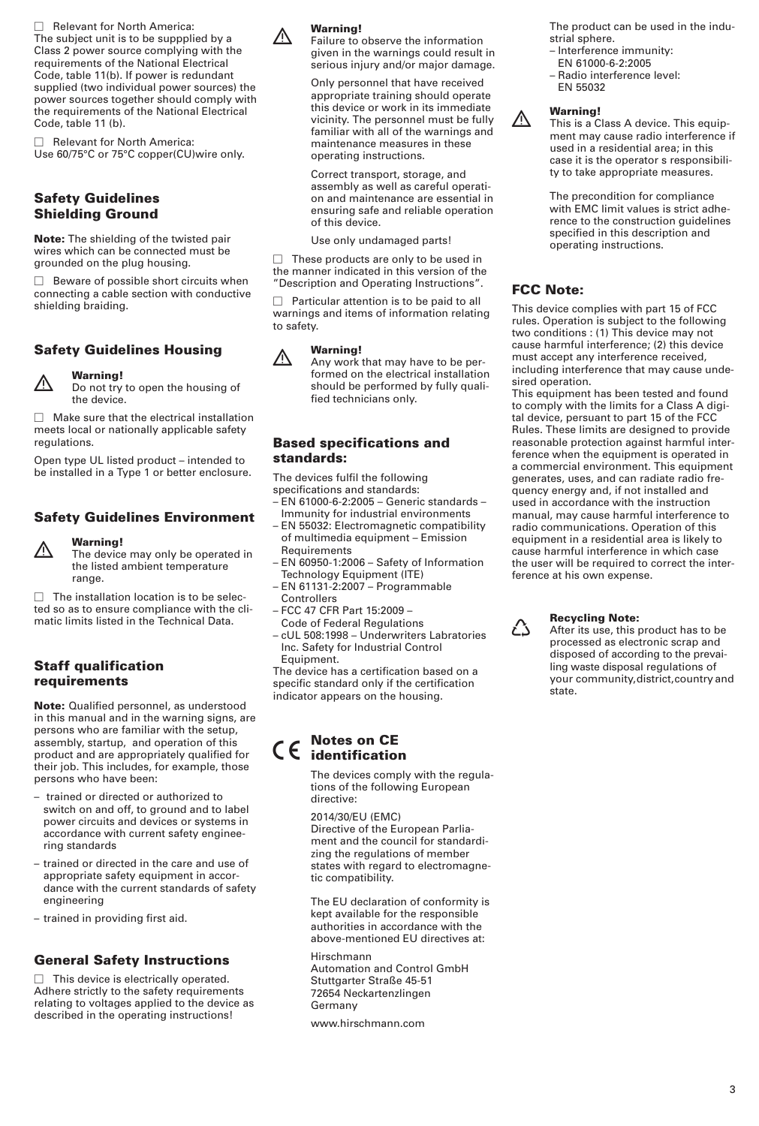$\Box$  Relevant for North America: The subject unit is to be suppplied by a Class 2 power source complying with the requirements of the National Electrical Code, table 11(b). If power is redundant supplied (two individual power sources) the power sources together should comply with the requirements of the National Electrical Code, table 11 (b).

 $\Box$  Relevant for North America: Use 60/75°C or 75°C copper(CU)wire only.

### **Safety Guidelines Shielding Ground**

**Note:** The shielding of the twisted pair wires which can be connected must be grounded on the plug housing.

 $\Box$  Beware of possible short circuits when connecting a cable section with conductive shielding braiding.

### **Safety Guidelines Housing**



**Warning!**<br>
<u>A</u> Do not try to open the housing of the device.

 $\Box$  Make sure that the electrical installation meets local or nationally applicable safety regulations.

Open type UL listed product – intended to be installed in a Type 1 or better enclosure.

### **Safety Guidelines Environment**



**1 Warning!**<br>A The device may only be operated in the listed ambient temperature

 $\Box$  The installation location is to be selected so as to ensure compliance with the climatic limits listed in the Technical Data.

#### **Staff qualification requirements**

range.

**Note:** Qualified personnel, as understood in this manual and in the warning signs, are persons who are familiar with the setup, assembly, startup, and operation of this product and are appropriately qualified for their job. This includes, for example, those persons who have been:

- trained or directed or authorized to switch on and off, to ground and to label power circuits and devices or systems in accordance with current safety engineering standards
- trained or directed in the care and use of appropriate safety equipment in accordance with the current standards of safety engineering
- trained in providing first aid.

### **General Safety Instructions**

 $\Box$  This device is electrically operated. Adhere strictly to the safety requirements relating to voltages applied to the device as described in the operating instructions!



**1**<br>**A** Failure to observe the information given in the warnings could result in serious injury and/or major damage.

> Only personnel that have received appropriate training should operate this device or work in its immediate vicinity. The personnel must be fully familiar with all of the warnings and maintenance measures in these operating instructions.

Correct transport, storage, and assembly as well as careful operation and maintenance are essential in ensuring safe and reliable operation of this device.

Use only undamaged parts!

 $\Box$  These products are only to be used in the manner indicated in this version of the "Description and Operating Instructions".

 $\Box$  Particular attention is to be paid to all warnings and items of information relating to safety.



**11 Warning!**<br>Any work that may have to be performed on the electrical installation should be performed by fully qualified technicians only.

#### **Based specifications and standards:**

The devices fulfil the following specifications and standards:

- EN 61000-6-2:2005 Generic standards Immunity for industrial environments
- EN 55032: Electromagnetic compatibility of multimedia equipment – Emission Requirements
- EN 60950-1:2006 Safety of Information Technology Equipment (ITE) – EN 61131-2:2007 – Programmable
- **Controllers** – FCC 47 CFR Part 15:2009 –
- Code of Federal Regulations
- cUL 508:1998 Underwriters Labratories Inc. Safety for Industrial Control Equipment.

The device has a certification based on a specific standard only if the certification indicator appears on the housing.

# 7 **Notes on CE identification**

The devices comply with the regulations of the following European directive:

2014/30/EU (EMC) Directive of the European Parliament and the council for standardizing the regulations of member states with regard to electromagnetic compatibility.

The EU declaration of conformity is kept available for the responsible authorities in accordance with the above-mentioned EU directives at:

Hirschmann Automation and Control GmbH Stuttgarter Straße 45-51 72654 Neckartenzlingen Germany

www.hirschmann.com

The product can be used in the industrial sphere.

- Interference immunity:
- EN 61000-6-2:2005
- Radio interference level: EN 55032



**1 Warning!**<br>A This is a Class A device. This equipment may cause radio interference if used in a residential area; in this case it is the operator s responsibility to take appropriate measures.

> The precondition for compliance with EMC limit values is strict adherence to the construction guidelines specified in this description and operating instructions.

### **FCC Note:**

This device complies with part 15 of FCC rules. Operation is subject to the following two conditions : (1) This device may not cause harmful interference; (2) this device must accept any interference received, including interference that may cause undesired operation.

This equipment has been tested and found to comply with the limits for a Class A digital device, persuant to part 15 of the FCC Rules. These limits are designed to provide reasonable protection against harmful interference when the equipment is operated in a commercial environment. This equipment generates, uses, and can radiate radio frequency energy and, if not installed and used in accordance with the instruction manual, may cause harmful interference to radio communications. Operation of this equipment in a residential area is likely to cause harmful interference in which case the user will be required to correct the interference at his own expense.



, **Recycling Note:** After its use, this product has to be processed as electronic scrap and disposed of according to the prevailing waste disposal regulations of your community,district,country and .<br>state.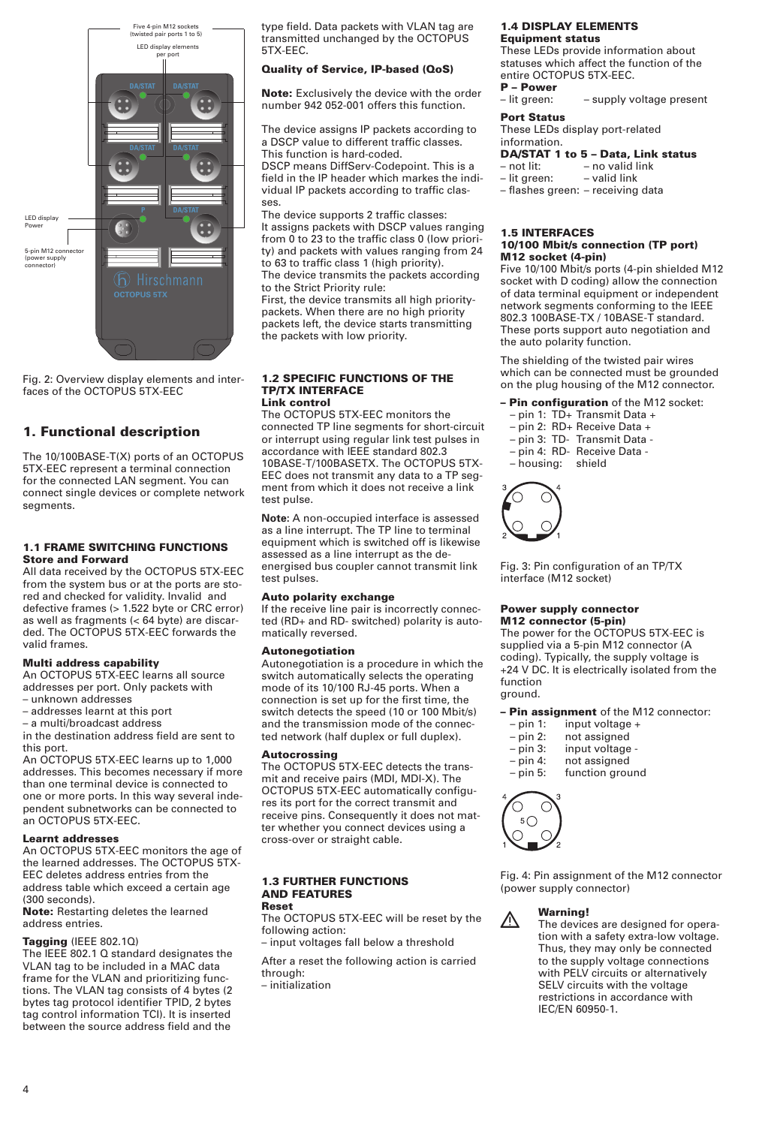

Fig. 2: Overview display elements and interfaces of the OCTOPUS 5TX-EEC

### **1. Functional description**

The 10/100BASE-T(X) ports of an OCTOPUS 5TX-EEC represent a terminal connection for the connected LAN segment. You can connect single devices or complete network segments.

#### **1.1 FRAME SWITCHING FUNCTIONS Store and Forward**

All data received by the OCTOPUS 5TX-EEC from the system bus or at the ports are stored and checked for validity. Invalid and defective frames (> 1.522 byte or CRC error) as well as fragments (< 64 byte) are discarded. The OCTOPUS 5TX-EEC forwards the valid frames.

#### **Multi address capability**

An OCTOPUS 5TX-EEC learns all source addresses per port. Only packets with – unknown addresses

- 
- addresses learnt at this port – a multi/broadcast address

in the destination address field are sent to this port.

An OCTOPUS 5TX-EEC learns up to 1,000 addresses. This becomes necessary if more than one terminal device is connected to one or more ports. In this way several independent subnetworks can be connected to **an OCTOPUS 5TX-EEC.** 

#### **Learnt addresses**

An OCTOPUS 5TX-EEC monitors the age of the learned addresses. The OCTOPUS 5TX-EEC deletes address entries from the address table which exceed a certain age (300 seconds).

**Note:** Restarting deletes the learned address entries.

#### **Tagging** (IEEE 802.1Q)

The IEEE 802.1 Q standard designates the VLAN tag to be included in a MAC data frame for the VLAN and prioritizing functions. The VLAN tag consists of 4 bytes (2 bytes tag protocol identifier TPID, 2 bytes tag control information TCI). It is inserted between the source address field and the

type field. Data packets with VLAN tag are transmitted unchanged by the OCTOPUS 5TX-EEC.

#### **Quality of Service, IP-based (QoS)**

**Note:** Exclusively the device with the order number 942 052-001 offers this function.

The device assigns IP packets according to a DSCP value to different traffic classes. This function is hard-coded.

DSCP means DiffServ-Codepoint. This is a field in the IP header which markes the individual IP packets according to traffic classes.

The device supports 2 traffic classes: It assigns packets with DSCP values ranging from 0 to 23 to the traffic class 0 (low priority) and packets with values ranging from 24 to 63 to traffic class 1 (high priority). The device transmits the packets according to the Strict Priority rule:

First, the device transmits all high prioritypackets. When there are no high priority packets left, the device starts transmitting the packets with low priority.

#### **1.2 SPECIFIC FUNCTIONS OF THE TP/TX INTERFACE Link control**

The OCTOPUS 5TX-EEC monitors the connected TP line segments for short-circuit or interrupt using regular link test pulses in accordance with IEEE standard 802.3 10BASE-T/100BASETX. The OCTOPUS 5TX-EEC does not transmit any data to a TP segment from which it does not receive a link test pulse.

**Note:** A non-occupied interface is assessed as a line interrupt. The TP line to terminal equipment which is switched off is likewise assessed as a line interrupt as the deenergised bus coupler cannot transmit link test pulses.

#### **Auto polarity exchange**

If the receive line pair is incorrectly connected (RD+ and RD- switched) polarity is automatically reversed.

#### **Autonegotiation**

Autonegotiation is a procedure in which the switch automatically selects the operating mode of its 10/100 RJ-45 ports. When a connection is set up for the first time, the switch detects the speed (10 or 100 Mbit/s) and the transmission mode of the connected network (half duplex or full duplex).

#### **Autocrossing**

The OCTOPUS 5TX-EEC detects the transmit and receive pairs (MDI, MDI-X). The OCTOPUS 5TX-EEC automatically configures its port for the correct transmit and receive pins. Consequently it does not matter whether you connect devices using a cross-over or straight cable.

#### **1.3 FURTHER FUNCTIONS AND FEATURES Reset**

The OCTOPUS 5TX-EEC will be reset by the following action:

– input voltages fall below a threshold

After a reset the following action is carried through:

– initialization

#### **1.4 DISPLAY ELEMENTS Equipment status**

These LEDs provide information about statuses which affect the function of the entire OCTOPUS 5TX-EEC.

**P – Power** – supply voltage present

#### **Port Status**

These LEDs display port-related information.

#### **DA/STAT 1 to 5 – Data, Link status**

| – not lit:   | - no valid link |
|--------------|-----------------|
| - lit green: | - valid link    |
|              |                 |

– flashes green: – receiving data

#### **1.5 INTERFACES 10/100 Mbit/s connection (TP port)**

#### **M12 socket (4-pin)**

Five 10/100 Mbit/s ports (4-pin shielded M12 socket with D coding) allow the connection of data terminal equipment or independent network segments conforming to the IEEE 802.3 100BASE-TX / 10BASE-T standard. These ports support auto negotiation and the auto polarity function.

The shielding of the twisted pair wires which can be connected must be grounded on the plug housing of the M12 connector.

- **– Pin configuration** of the M12 socket:
- pin 1: TD+ Transmit Data +
- pin 2: RD+ Receive Data +
- pin 3: TD- Transmit Data -
- pin 4: RD- Receive Data  $-$  housing:



Fig. 3: Pin configuration of an TP/TX interface (M12 socket)

#### **Power supply connector M12 connector (5-pin)**

The power for the OCTOPUS 5TX-EEC is supplied via a 5-pin M12 connector (A coding). Typically, the supply voltage is +24 V DC. It is electrically isolated from the function ground.

**– Pin assignment** of the M12 connector:

- $-$  pin 1: input voltage  $+$ <br> $-$  pin 2: not assigned
- 
- pin 2: not assigned input voltage -
- pin 4: not assigned
- pin 5: function ground



Fig. 4: Pin assignment of the M12 connector (power supply connector)



#### **1 Warning!**<br>
The devices are designed for operation with a safety extra-low voltage. Thus, they may only be connected to the supply voltage connections with PELV circuits or alternatively SELV circuits with the voltage restrictions in accordance with IEC/EN 60950-1.

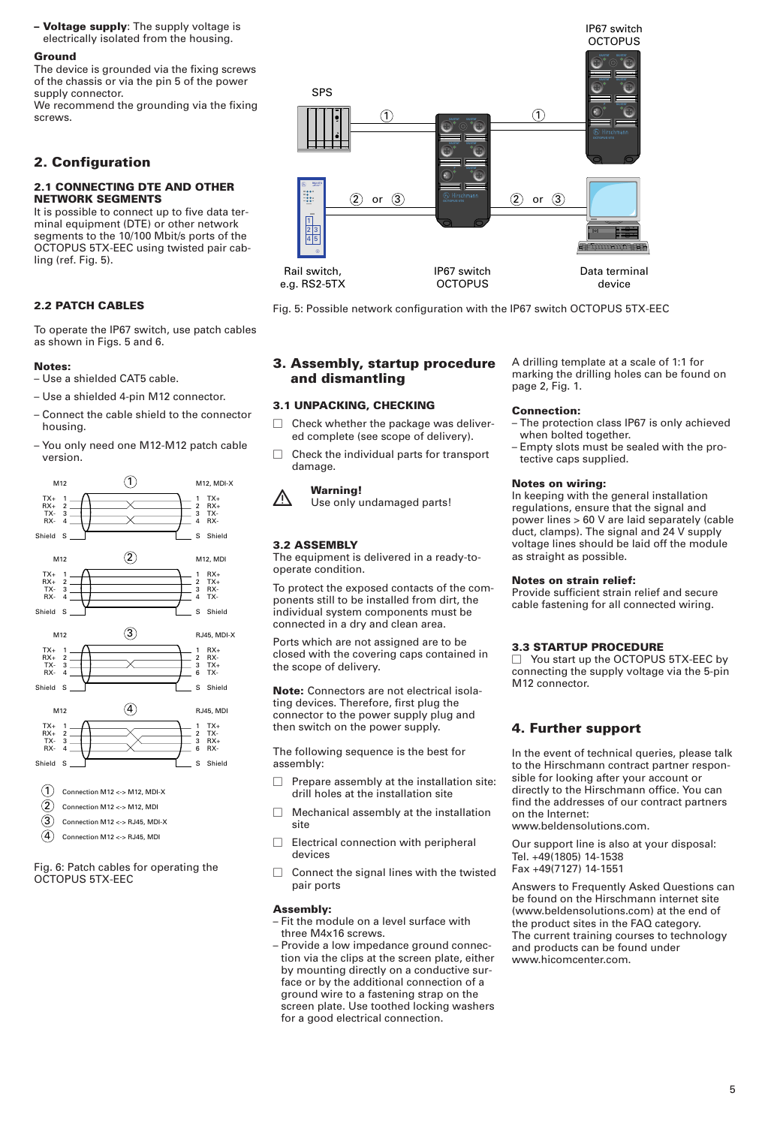**– Voltage supply**: The supply voltage is electrically isolated from the housing.

#### **Ground**

The device is grounded via the fixing screws of the chassis or via the pin 5 of the power supply connector.

We recommend the grounding via the fixing screws.

#### **2. Configuration**

#### **2.1 CONNECTING DTE AND OTHER NETWORK SEGMENTS**

It is possible to connect up to five data terminal equipment (DTE) or other network segments to the 10/100 Mbit/s ports of the OCTOPUS 5TX-EEC using twisted pair cabling (ref. Fig. 5).

#### **2.2 PATCH CABLES**

To operate the IP67 switch, use patch cables as shown in Figs. 5 and 6.

#### **Notes:**

- Use a shielded CAT5 cable.
- Use a shielded 4-pin M12 connector.
- Connect the cable shield to the connector housing.
- You only need one M12-M12 patch cable version.



Fig. 6: Patch cables for operating the OCTOPUS 5TX-EEC



Fig. 5: Possible network configuration with the IP67 switch OCTOPUS 5TX-EEC

#### **3. Assembly, startup procedure and dismantling**

#### **3.1 UNPACKING, CHECKING**

- $\Box$  Check whether the package was delivered complete (see scope of delivery).
- $\Box$  Check the individual parts for transport damage.



**1 Warning!**<br>A Use only undamaged parts!

#### **3.2 ASSEMBLY**

The equipment is delivered in a ready-tooperate condition.

To protect the exposed contacts of the components still to be installed from dirt, the individual system components must be connected in a dry and clean area.

Ports which are not assigned are to be closed with the covering caps contained in the scope of delivery.

**Note:** Connectors are not electrical isolating devices. Therefore, first plug the connector to the power supply plug and then switch on the power supply.

The following sequence is the best for assembly:

- $\Box$  Prepare assembly at the installation site: drill holes at the installation site
- $\Box$  Mechanical assembly at the installation site
- $\Box$  Electrical connection with peripheral devices
- $\Box$  Connect the signal lines with the twisted pair ports

#### **Assembly:**

- Fit the module on a level surface with three M4x16 screws.
- Provide a low impedance ground connection via the clips at the screen plate, either by mounting directly on a conductive surface or by the additional connection of a ground wire to a fastening strap on the screen plate. Use toothed locking washers for a good electrical connection.

A drilling template at a scale of 1:1 for marking the drilling holes can be found on page 2, Fig. 1.

#### **Connection:**

- The protection class IP67 is only achieved when bolted together.
- Empty slots must be sealed with the protective caps supplied.

#### **Notes on wiring:**

In keeping with the general installation regulations, ensure that the signal and power lines > 60 V are laid separately (cable duct, clamps). The signal and 24 V supply voltage lines should be laid off the module as straight as possible.

#### **Notes on strain relief:**

Provide sufficient strain relief and secure cable fastening for all connected wiring.

#### **3.3 STARTUP PROCEDURE**

□ You start up the OCTOPUS 5TX-EEC by connecting the supply voltage via the 5-pin M12 connector.

#### **4. Further support**

In the event of technical queries, please talk to the Hirschmann contract partner responsible for looking after your account or directly to the Hirschmann office. You can find the addresses of our contract partners on the Internet: www.beldensolutions.com.

Our support line is also at your disposal:

Tel. +49(1805) 14-1538

Fax +49(7127) 14-1551

Answers to Frequently Asked Questions can be found on the Hirschmann internet site (www.beldensolutions.com) at the end of the product sites in the FAQ category. The current training courses to technology and products can be found under www.hicomcenter.com.